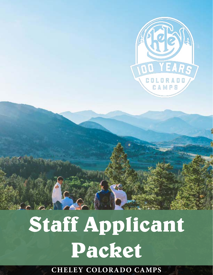

# **Staff Applicant Packet**

**CHELEY COLORADO CAMPS**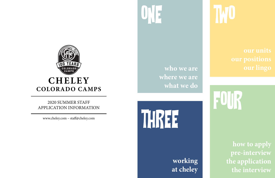YEAR COLORA **CHELEY COLORADO CAMPS**

### 2020 SUMMER STAFF APPLICATION INFORMATION

www.cheley.com – staff@cheley.com



**who we are where we are what we do**

> **working at cheley**



# **FUUD**

THREE

**how to apply pre-interview the application the interview**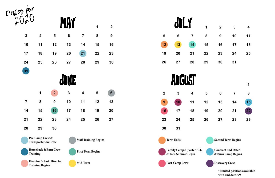

 $21$ 

28

20

| portes for                                          |                                                     |                |            |                          |                              |    |  |  |
|-----------------------------------------------------|-----------------------------------------------------|----------------|------------|--------------------------|------------------------------|----|--|--|
|                                                     |                                                     |                | <b>MAY</b> |                          | 1                            | 2  |  |  |
| 3                                                   | 4                                                   | 5              | 6          | 7                        | 8                            | 9  |  |  |
| 10                                                  | 11                                                  | 12             | 13         | 14                       | 15                           | 16 |  |  |
| 17                                                  | 18                                                  | 19             | 20         | 21                       | 22                           | 23 |  |  |
| 24                                                  | 25                                                  | 26             | 27         | 28                       | 29                           | 30 |  |  |
| 31                                                  |                                                     |                |            |                          |                              |    |  |  |
|                                                     | JUNE                                                |                |            |                          |                              |    |  |  |
|                                                     | 1                                                   | $\overline{2}$ | 3          | 4                        | 5                            | 6  |  |  |
| 7                                                   | 8                                                   | 9              | 10         | 11                       | 12                           | 13 |  |  |
| 14                                                  | 15                                                  | 16             | 17         | 18                       | 19                           | 20 |  |  |
| 21                                                  | 22                                                  | 23             | 24         | 25                       | 26                           | 27 |  |  |
| 28                                                  | 29                                                  | 30             |            |                          |                              |    |  |  |
|                                                     | Pre-Camp Crew &<br><b>Transportation Crew</b>       |                |            |                          | <b>Staff Training Begins</b> |    |  |  |
|                                                     | <b>Horseback &amp; Barn Crew</b><br><b>Training</b> |                |            | <b>First Term Begins</b> |                              |    |  |  |
| Director & Asst. Director<br><b>Training Begins</b> |                                                     |                |            | Mid-Term                 |                              |    |  |  |

27

5

 $12$ 

19

26



**Term Ends** 

Family Camp, Quarter B-4, & Teen Summit Begin

Post-Camp Crew

| $\mathbf{1}$    | $\mathbf{2}$    | $3^{\circ}$    | $\overline{4}$ |
|-----------------|-----------------|----------------|----------------|
| 8               | $\overline{9}$  | 10             | 11             |
| 15              | 16              | 17             | 18             |
| 22              | 23              | 24             | 25             |
| 29              | 30              | 31             |                |
|                 |                 |                |                |
|                 |                 |                | $\overline{1}$ |
| $5\overline{5}$ | $6\overline{6}$ | $\overline{7}$ | 8              |
| 12              | 13              | 14             | 15             |
| 19              | 20              | 21             | $ 22\rangle$   |

**Second Term Begins** 

27

26

28

29

Contract End Date\* & Burn Camp Begins

Discovery Crew

\*Limited positions available with end date 8/9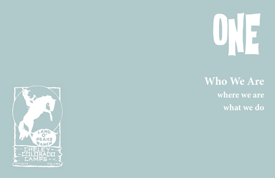



### **Who We Are where we are what we do**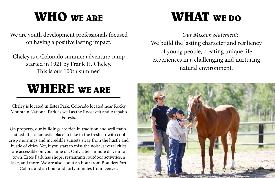### **WHO WE ARE**

### **WHERE WE ARE**

We are youth development professionals focused on having a positive lasting impact.

Cheley is a Colorado summer adventure camp started in 1921 by Frank H. Cheley. This is our 100th summer!

Cheley is located in Estes Park, Colorado located near Rocky Mountain National Park as well as the Roosevelt and Arapaho Forests.

On property, our buildings are rich in tradition and well maintained. It is a fantastic place to take in the fresh air with cool crisp mornings and incredible sunsets away from the hustle and bustle of cities. Yet, if you start to miss the noise, several cities are accessible on your time off. Only a ten-minute drive into town, Estes Park has shops, restaurants, outdoor activities, a lake, and more. We are also about an hour from Boulder/Fort

Collins and an hour and forty minutes from Denver.

### **WHAT WE DO**



### *Our Mission Statement:* We build the lasting character and resiliency of young people, creating unique life experiences in a challenging and nurturing natural environment.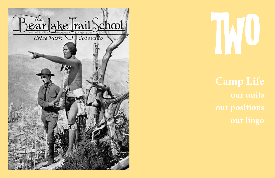

# TWO COMPANY

**Camp Life our positions our lingo**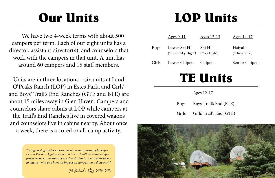### **Our Units**

We have two 4-week terms with about 500 campers per term. Each of our eight units has a director, assistant director(s), and counselors that work with the campers in that unit. A unit has around 60 campers and 15 staff members.

Units are in three locations – six units at Land O'Peaks Ranch (LOP) in Estes Park, and Girls' and Boys' Trail's End Ranches (GTE and BTE) are about 15 miles away in Glen Haven. Campers and counselors share cabins at LOP while campers at the Trail's End Ranches live in covered wagons and counselors live in cabins nearby. About once a week, there is a co-ed or all-camp activity.

### **LOP Units**

Ages 12-13 Ages 14-17

Boys Lower Ski Hi Ski Hi Haiyaha

"Sky High") ("Hi-yah-ha")

Chipeta Senior Chipeta

### $\frac{12-17}{2}$

- In Trail's End (BTE)
- If Trail's End (GTE)

### **TE Units**

|             | <u>Ages</u> |
|-------------|-------------|
| <b>Boys</b> | <b>Boys</b> |
| Girls       | Girls       |



*"Being on staff at Cheley was one of the most meaningful experiences I've had. I got to meet and interact with so many unique people who became some of my closest friends. It also allowed me to interact with and have an impact on campers on a daily basis."*

Jeb Kendrick, Staff 2018-2019

|             | <u>Ages 9-11</u>                   | f                     |
|-------------|------------------------------------|-----------------------|
| <b>Boys</b> | Lower Ski Hi<br>("Lower Sky High") | Ś<br>(                |
| Girls       | Lower Chipeta                      | $\check{\phantom{a}}$ |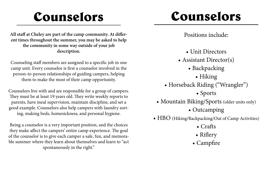### **Counselors**

**All staff at Cheley are part of the camp community. At different times throughout the summer, you may be asked to help the community in some way outside of your job description.**

Counseling staff members are assigned to a specific job in one camp unit. Every counselor is first a counselor involved in the person-to-person relationships of guiding campers, helping them to make the most of their camp opportunity.

Counselors live with and are responsible for a group of campers. They must be at least 19 years old. They write weekly reports to parents, have meal supervision, maintain discipline, and set a good example. Counselors also help campers with laundry sorting, making beds, homesickness, and personal hygiene.

Being a counselor is a very important position, and the choices they make affect the campers' entire camp experience. The goal of the counselor is to give each camper a safe, fun, and memorable summer where they learn about themselves and learn to "act spontaneously in the right."

- Backpacking • Hiking • Sports • Outcamping • Crafts • Riflery • Campfire
- Unit Directors
- -
- Assistant Director(s)
- 
- Horseback Riding ("Wrangler")
- 
- Mountain Biking/Sports (older units only) • HBO (Hiking/Backpacking/Out of Camp Activities)
- 
- 
- 
- Positions include:

### **Counselors**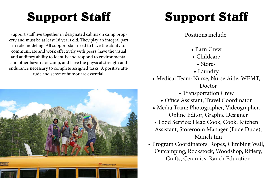# **Support Staff**

Support staff live together in designated cabins on camp property and must be at least 18 years old. They play an integral part in role modeling. All support staff need to have the ability to communicate and work effectively with peers, have the visual and auditory ability to identify and respond to environmental and other hazards at camp, and have the physical strength and endurance necessary to complete assigned tasks. A positive attitude and sense of humor are essential.



# **Support Staff**

- Positions include:
	- Barn Crew
	- Childcare
		- Stores
- 
- -
- Laundry
- Medical Team: Nurse, Nurse Aide, WEMT, Doctor
	- Transportation Crew
	- Office Assistant, Travel Coordinator
- Media Team: Photographer, Videographer, Online Editor, Graphic Designer
- Food Service: Head Cook, Cook, Kitchen Assistant, Storeroom Manager (Fude Dude), Munch Inn
- Program Coordinators: Ropes, Climbing Wall, Outcamping, Rockstock, Woodshop, Riflery, Crafts, Ceramics, Ranch Education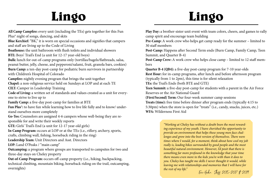**All Camp Campfire:** every unit (including the TEs) gets together for this Fun Plus® night of songs, dancing, and skits **Blue Kerchief:** "BK," it is worn on special occasions and signifies that campers and staff are living up to the Code of Living **Boathouse:** the unit bathroom with flush toilets and individual showers **BTE:** Boys' Trail's End (a unit for 12-17 year-old boys) **Bulk:** lunch for out-of-camp programs only (tortillas/bagels/flatbreads, salsa, peanut butter, jelly, cheese, and pepperoni/salami, fruit, granola bars, cookies) **Burn Camp:** a ten-day post-camp for pediatric burn survivors in partnership with Children's Hospital of Colorado **Campfire:** nightly evening program that brings the unit together **Chapel:** a non-religious service held on Sundays at LOP and at each TE **CILT:** Camper in Leadership Training **Code of Living:** a written set of standards and values created as a unit for everyone to strive to live up to **Family Camp:** a five-day post-camp for families at BTE **Fun Plus®:** to have fun while learning how to live life fully and to know/ understand ourselves more completely **Go-Tos:** Counselors are assigned 4-6 campers whose well-being they are responsible for and write their weekly reports **GTE:** Girls' Trail's End (a unit for 12-17 year-old girls) **In-Camp Program:** occurs at LOP or at the TEs (i.e., riflery, archery, sports, crafts, climbing wall, fishing, horseback riding in the ring) **Leadership Team:** Unit Directors and Asst. Directors LOP: Land O'Peaks / "main camp" **Outcamping:** a program where groups are transported to campsites for two and three-day stays on Cheley property **Out-of-Camp Program:** occurs off-camp property (i.e., hiking, backpacking, technical climbing, mountain biking, horseback riding on the trail, outcamping, overnights)

*"Working at Cheley has without a doubt been the most rewarding experience of my youth. I have cherished the opportunity to provide an environment that helps these young men face challenges and grow into the best version of themselves. There were times where I would, for a moment, think about how cool my job really is, leading hikes surrounded by good people and the most beautiful natural environment. However, I'd posit that there is something far more profound in the knowledge that your time there means even more to the kids you're with than it does to you. Cheley has taught me skills I never thought it would, while leaving me with relationships and memories that I will have for the rest of my life."*  $\overline{E}$ *inc Hahn,*  $\overline{S}$ *laff* 2015-2017  $\overline{E}$  2019

camp spirit and encourage team building Pre-Camp: A work crew who helps get camp ready for the summer – limited to 30 staff members

Summit, and Quarter B-4)

- **Play Day:** a brother-sister unit event with team colors, cheers, and games to rally
	-
- **Post-Camp:** Happens after Second Term ends (Burn Camp, Family Camp, Teen
- Post-Camp Crew: A work crew who helps close camp limited to 12 staff mem-
- **Rest Hour:** for in-camp programs, after lunch and before afternoon program **Teen Summit:** a five-day post-camp for students with a parent in the Air Force
	-

bers

**Quarter B-4 (QB4):** a five-day post-camp program for 7-10 year-olds (typically from 1 to 2pm), this time is for silent relaxation **TEs:** the Trail's Ends (both BTE and GTE) Reserves or the Air National Guard **(First/Second) Term:** Our four-week summer camp sessions **Treats (time):** free time before dinner after program ends (typically 4:15 to 5:30pm) when the store is open for "treats" (i.e., candy, snacks, juices, etc.) **WFA:** Wilderness First Aid

## **Lingo**

### **Lingo**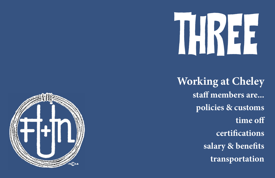



**Working at Cheley staff members are... policies & customs time off certifications salary & benefits transportation**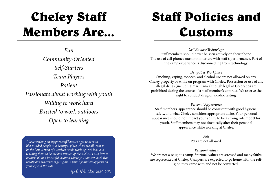### **Cheley Staff Members Are...**

*Fun Community-Oriented Self-Starters Team Players Patient Passionate about working with youth Willing to work hard Excited to work outdoors Open to learning*

### **Staff Policies and Customs**

*Cell Phones/Technology* Staff members should never be seen actively on their phone. The use of cell phones must not interfere with staff 's performance. Part of the camp experience is disconnecting from technology.

*Drug-Free Workplace* Smoking, vaping, tobacco, and alcohol use are not allowed on any Cheley property or while on program with Cheley. Possession or use of any illegal drugs (including marijuana although legal in Colorado) are prohibited during the course of a staff member's contract. We reserve the right to conduct drug or alcohol testing.

### *Personal Appearance*

Staff members' appearance should be consistent with good hygiene, safety, and what Cheley considers appropriate attire. Your personal appearance should not impact your ability to be a strong role model for youth. Staff members may not drastically alter their personal appearance while working at Cheley.

### *Pets*

Pets are not allowed.

*Religion/Values* We are not a religious camp. Spiritual values are stressed and many faiths are represented at Cheley. Campers are expected to go home with the religion they came with and not be converted.

*"I love working on support staff because I get to be with like-minded people in a beautiful place where we all want to be the best version of ourselves, while working with kids and teaching them to be the best version of themselves. I also love it because it's in a beautiful location where you can step back from reality and whatever is going on in your life and really focus on yourself and the kids."*

Nicole Ebel, Staff 2017-2019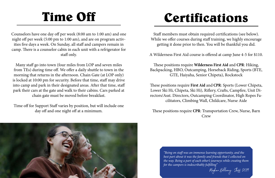### **Time Off**

Counselors have one day off per week (8:00 am to 1:00 am) and one night off per week (5:00 pm to 1:00 am), and are on program activities five days a week. On Sunday, all staff and campers remain in camp. There is a counselor cabin in each unit with a refrigerator for staff only.

Many staff go into town (four miles from LOP and seven miles from TEs) during time off. We offer a daily shuttle to town in the morning that returns in the afternoon. Chain Gate (at LOP only) is locked at 10:00 pm for security. Before that time, staff may drive into camp and park in their designated areas. After that time, staff park their cars at the gate and walk to their cabins. Cars parked at chain gate must be moved before breakfast.

Time off for Support Staff varies by position, but will include one day off and one night off at a minimum.

### **Certifications**

Staff members must obtain required certifications (see below). While we offer courses during staff training, we highly encourage getting it done prior to then. You will be thankful you did.

A Wilderness First Aid course is offered at camp June 4-5 for \$110.

These positions require **Wilderness First Aid** and **CPR**: Hiking, Backpacking, HBO, Outcamping, Horseback Riding, Sports (BTE, GTE, Haiyaha, Senior Chipeta), Rockstock

These positions require **First Aid** and **CPR**: Sports (Lower Chipeta, Lower Ski Hi, Chipeta, Ski Hi), Riflery, Crafts, Campfire, Unit Directors/Asst. Directors, Outcamping Coordinator, High Ropes Facilitators, Climbing Wall, Childcare, Nurse Aide

These positions require **CPR**: Transportation Crew, Nurse, Barn Crew

> *"Being on staff was an immense learning opportunity, and the best part about it was the family and friends that I collected on the way. Being a part of each other's journeys while creating them for the campers is indescribably fulfilling"*



Meghan Bellamy, Staff 2019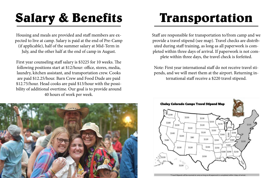# **Salary & Benefits**

Housing and meals are provided and staff members are expected to live at camp. Salary is paid at the end of Pre-Camp (if applicable), half of the summer salary at Mid-Term in July, and the other half at the end of camp in August.

First year counseling staff salary is \$3225 for 10 weeks. The following positions start at \$12/hour: office, stores, media, laundry, kitchen assistant, and transportation crew. Cooks are paid \$12.25/hour. Barn Crew and Food Dude are paid \$12.75/hour. Head cooks are paid \$13/hour with the possibility of additional overtime. Our goal is to provide around 40 hours of work per week.



### **Transportation**

Staff are responsible for transportation to/from camp and we provide a travel stipend (see map). Travel checks are distributed during staff training, as long as all paperwork is completed within three days of arrival. If paperwork is not complete within three days, the travel check is forfeited.

Note: First year international staff do not receive travel stipends, and we will meet them at the airport. Returning international staff receive a \$220 travel stipend.





<sup>\*</sup>Travel Stipends will be received at camp as long as all paperwork is completed within 3 days of arriva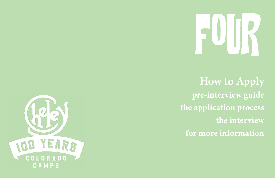# FOUR



**How to Apply pre-interview guide the application process the interview for more information**

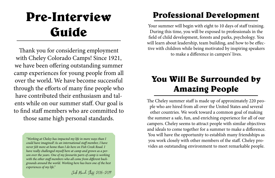### **Pre-Interview Guide**

Thank you for considering employment with Cheley Colorado Camps! Since 1921, we have been offering outstanding summer camp experiences for young people from all over the world. We have become successful through the efforts of many fine people who have contributed their enthusiasm and talents while on our summer staff. Our goal is to find staff members who are committed to those same high personal standards.

Your summer will begin with eight to 10 days of staff training. During this time, you will be exposed to professionals in the field of child development, forests and parks, psychology. You will learn about leadership, team building, and how to be effective with children while being motivated by inspiring speakers to make a difference in campers' lives.

### **Professional Development**

### **You Will Be Surrounded by Amazing People**

The Cheley summer staff is made up of approximately 220 people who are hired from all over the United States and several other countries. We work toward a common goal of making the summer a safe, fun, and enriching experience for all of our campers. Cheley seems to attract people with similar objectives and ideals to come together for a summer to make a difference. You will have the opportunity to establish many friendships as you work closely with other members of the staff. Cheley provides an outstanding environment to meet remarkable people.

*"Working at Cheley has impacted my life in more ways than I could have imagined! As an international staff member, I have never felt more at home than I do here on Fish Creek Road. I have really challenged myself here at camp and grown as a person over the years. One of my favourite parts of camp is working with the other staff members who all come from different backgrounds around the world. Working here has been one of the best experiences of my life."*

Jack Maud, Staff 2016–2019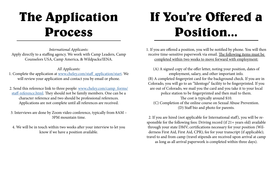### **The Application Process**

*International Applicants:* Apply directly to a staffing agency. We work with Camp Leaders, Camp Counselors USA, Camp America, & Wildpacks/IENA.

1. Complete the application at [www.cheley.com/staff\\_application/start](http://www.cheley.com/staff_application/start). We will review your application and contact you by email or phone.

### *All Applicants:*

- 2. Send this reference link to three people: [www.cheley.com/camp\\_forms/](http://www.cheley.com/camp_forms/staff-reference.html) [staff-reference.html](http://www.cheley.com/camp_forms/staff-reference.html). They should not be family members. One can be a character reference and two should be professional references. Applications are not complete until all references are received.
- 3. Interviews are done by Zoom video conference, typically from 8AM 3PM mountain time.
- 4. We will be in touch within two weeks after your interview to let you know if we have a position available.

1. If you are offered a position, you will be notified by phone. You will then receive time-sensitive paperwork via email. The following items must be completed within two weeks to move forward with employment:

(A) A signed copy of the offer letter, noting your position, dates of employment, salary, and other important info. (B) A completed fingerprint card for the background check. If you are in Colorado, you will go to an "Identogo" facility to be fingerprinted. If you are out of Colorado, we mail you the card and you take it to your local police station to be fingerprinted and then mail to them. The cost is typically around \$10. (C) Completion of the online course on Sexual Abuse Prevention.

(D) Staff bio and photo for parents.

2. If you are hired (not applicable for International staff), you will be responsible for the following fees: Driving record (if 21+ years old) available through your state DMV; certifications necessary for your position (Wilderness First Aid, First Aid, CPR); fee for your transcript (if applicable); travel to and from camp (travel stipends are received upon arrival at camp as long as all arrival paperwork is completed within three days).

### **If You're Offered a Position...**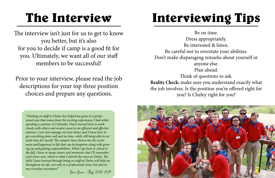### **The Interview**

The interview isn't just for us to get to know you better, but it's also for you to decide if camp is a good fit for you. Ultimately, we want all of our staff members to be successful!

Prior to your interview, please read the job descriptions for your top three position choices and prepare any questions.

# **Interviewing Tips**

Be on time. Dress appropriately. Be interested & listen. Be careful not to overstate your abilities. Don't make disparaging remarks about yourself or anyone else. Plan ahead. Think of questions to ask. **Reality Check:** make sure you understand exactly what the job involves. Is the position you're offered right for you? Is Cheley right for you?





*"Working on staff at Cheley has helped me grow in a professional way that comes from the exciting experiences I had while spending a summer in Colorado. I have learned how to work closely with others and resolve issues in an efficient and effective manner. I can now manage my time better and I know how to get everything done well and on time, while still being able to set aside time for myself. The campers have shown me the excitement and happiness in life that can be forgotten along with growing up and gaining responsibilities. When I go back to school in the fall, I have so many stories and memories that I'll remember years from now, which is what I cherish the most at Cheley. The skills I have learned through being on staff at Cheley will help me throughout my life, not only in a professional sense, but also in my everyday encounters."*

### Dani Brown, Staff 2018-2019